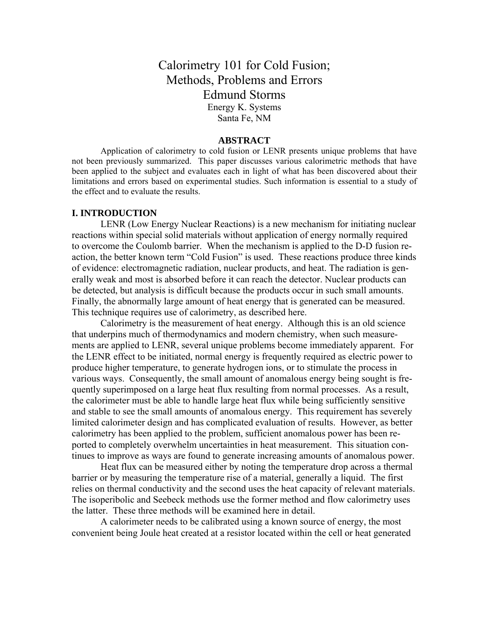# Calorimetry 101 for Cold Fusion; Methods, Problems and Errors Edmund Storms Energy K. Systems Santa Fe, NM

## **ABSTRACT**

Application of calorimetry to cold fusion or LENR presents unique problems that have not been previously summarized. This paper discusses various calorimetric methods that have been applied to the subject and evaluates each in light of what has been discovered about their limitations and errors based on experimental studies. Such information is essential to a study of the effect and to evaluate the results.

#### **I. INTRODUCTION**

LENR (Low Energy Nuclear Reactions) is a new mechanism for initiating nuclear reactions within special solid materials without application of energy normally required to overcome the Coulomb barrier. When the mechanism is applied to the D-D fusion reaction, the better known term "Cold Fusion" is used. These reactions produce three kinds of evidence: electromagnetic radiation, nuclear products, and heat. The radiation is generally weak and most is absorbed before it can reach the detector. Nuclear products can be detected, but analysis is difficult because the products occur in such small amounts. Finally, the abnormally large amount of heat energy that is generated can be measured. This technique requires use of calorimetry, as described here.

 Calorimetry is the measurement of heat energy. Although this is an old science that underpins much of thermodynamics and modern chemistry, when such measurements are applied to LENR, several unique problems become immediately apparent. For the LENR effect to be initiated, normal energy is frequently required as electric power to produce higher temperature, to generate hydrogen ions, or to stimulate the process in various ways. Consequently, the small amount of anomalous energy being sought is frequently superimposed on a large heat flux resulting from normal processes. As a result, the calorimeter must be able to handle large heat flux while being sufficiently sensitive and stable to see the small amounts of anomalous energy. This requirement has severely limited calorimeter design and has complicated evaluation of results. However, as better calorimetry has been applied to the problem, sufficient anomalous power has been reported to completely overwhelm uncertainties in heat measurement. This situation continues to improve as ways are found to generate increasing amounts of anomalous power.

 Heat flux can be measured either by noting the temperature drop across a thermal barrier or by measuring the temperature rise of a material, generally a liquid. The first relies on thermal conductivity and the second uses the heat capacity of relevant materials. The isoperibolic and Seebeck methods use the former method and flow calorimetry uses the latter. These three methods will be examined here in detail.

A calorimeter needs to be calibrated using a known source of energy, the most convenient being Joule heat created at a resistor located within the cell or heat generated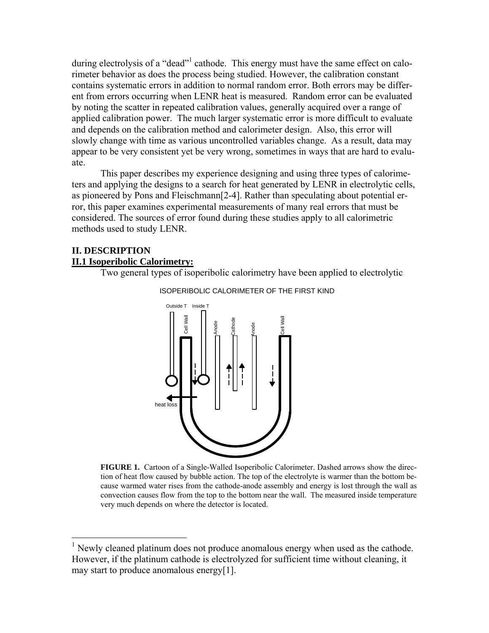during electrolysis of a "dead"<sup>1</sup> cathode. This energy must have the same effect on calorimeter behavior as does the process being studied. However, the calibration constant contains systematic errors in addition to normal random error. Both errors may be different from errors occurring when LENR heat is measured. Random error can be evaluated by noting the scatter in repeated calibration values, generally acquired over a range of applied calibration power. The much larger systematic error is more difficult to evaluate and depends on the calibration method and calorimeter design. Also, this error will slowly change with time as various uncontrolled variables change. As a result, data may appear to be very consistent yet be very wrong, sometimes in ways that are hard to evaluate.

This paper describes my experience designing and using three types of calorimeters and applying the designs to a search for heat generated by LENR in electrolytic cells, as pioneered by Pons and Fleischmann[2-4]. Rather than speculating about potential error, this paper examines experimental measurements of many real errors that must be considered. The sources of error found during these studies apply to all calorimetric methods used to study LENR.

## **II. DESCRIPTION II.1 Isoperibolic Calorimetry:**

Two general types of isoperibolic calorimetry have been applied to electrolytic



ISOPERIBOLIC CALORIMETER OF THE FIRST KIND

**FIGURE 1.** Cartoon of a Single-Walled Isoperibolic Calorimeter. Dashed arrows show the direction of heat flow caused by bubble action. The top of the electrolyte is warmer than the bottom because warmed water rises from the cathode-anode assembly and energy is lost through the wall as convection causes flow from the top to the bottom near the wall. The measured inside temperature very much depends on where the detector is located.

<span id="page-1-0"></span><sup>&</sup>lt;sup>1</sup> Newly cleaned platinum does not produce anomalous energy when used as the cathode. However, if the platinum cathode is electrolyzed for sufficient time without cleaning, it may start to produce anomalous energy[1].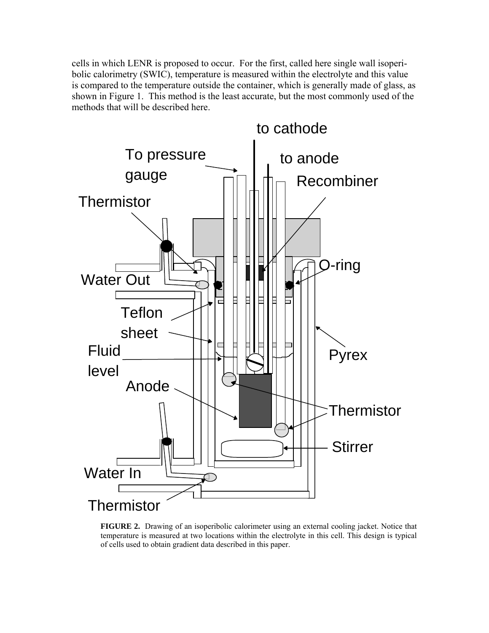cells in which LENR is proposed to occur. For the first, called here single wall isoperibolic calorimetry (SWIC), temperature is measured within the electrolyte and this value is compared to the temperature outside the container, which is generally made of glass, as shown in Figure 1. This method is the least accurate, but the most commonly used of the methods that will be described here.



**FIGURE 2.** Drawing of an isoperibolic calorimeter using an external cooling jacket. Notice that temperature is measured at two locations within the electrolyte in this cell. This design is typical of cells used to obtain gradient data described in this paper.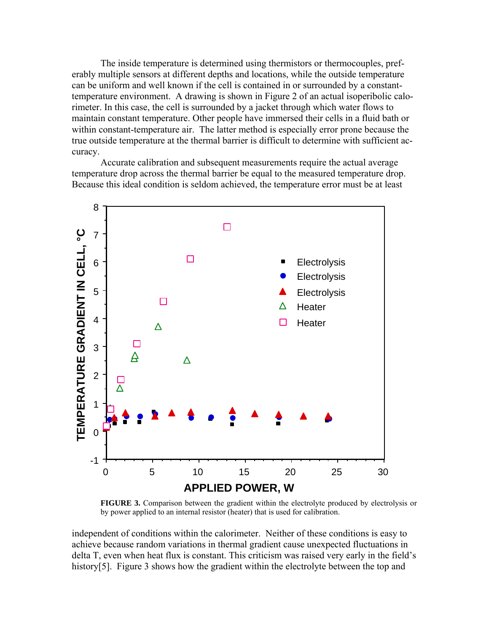The inside temperature is determined using thermistors or thermocouples, preferably multiple sensors at different depths and locations, while the outside temperature can be uniform and well known if the cell is contained in or surrounded by a constanttemperature environment. A drawing is shown in Figure 2 of an actual isoperibolic calorimeter. In this case, the cell is surrounded by a jacket through which water flows to maintain constant temperature. Other people have immersed their cells in a fluid bath or within constant-temperature air. The latter method is especially error prone because the true outside temperature at the thermal barrier is difficult to determine with sufficient accuracy.

Accurate calibration and subsequent measurements require the actual average temperature drop across the thermal barrier be equal to the measured temperature drop. Because this ideal condition is seldom achieved, the temperature error must be at least



**FIGURE 3.** Comparison between the gradient within the electrolyte produced by electrolysis or by power applied to an internal resistor (heater) that is used for calibration.

independent of conditions within the calorimeter. Neither of these conditions is easy to achieve because random variations in thermal gradient cause unexpected fluctuations in delta T, even when heat flux is constant. This criticism was raised very early in the field's history[5]. Figure 3 shows how the gradient within the electrolyte between the top and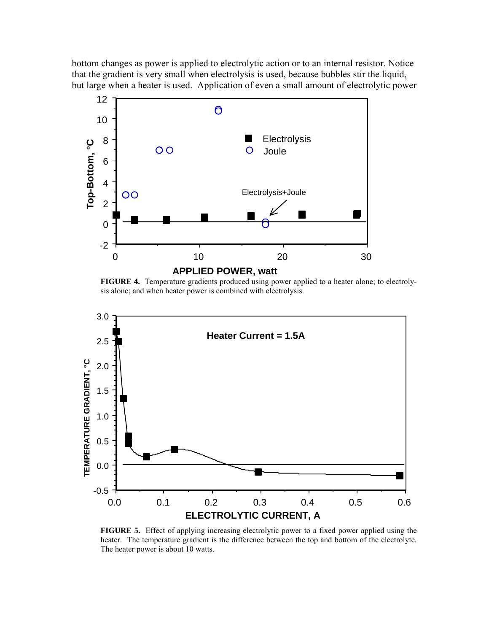bottom changes as power is applied to electrolytic action or to an internal resistor. Notice that the gradient is very small when electrolysis is used, because bubbles stir the liquid, but large when a heater is used. Application of even a small amount of electrolytic power



**FIGURE 4.** Temperature gradients produced using power applied to a heater alone; to electrolysis alone; and when heater power is combined with electrolysis.



**FIGURE 5.** Effect of applying increasing electrolytic power to a fixed power applied using the heater. The temperature gradient is the difference between the top and bottom of the electrolyte. The heater power is about 10 watts.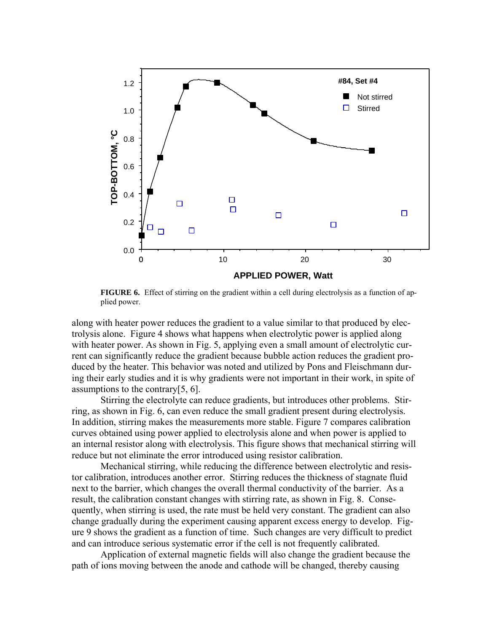

**FIGURE 6.** Effect of stirring on the gradient within a cell during electrolysis as a function of applied power.

along with heater power reduces the gradient to a value similar to that produced by electrolysis alone. Figure 4 shows what happens when electrolytic power is applied along with heater power. As shown in Fig. 5, applying even a small amount of electrolytic current can significantly reduce the gradient because bubble action reduces the gradient produced by the heater. This behavior was noted and utilized by Pons and Fleischmann during their early studies and it is why gradients were not important in their work, in spite of assumptions to the contrary[5, 6].

Stirring the electrolyte can reduce gradients, but introduces other problems. Stirring, as shown in Fig. 6, can even reduce the small gradient present during electrolysis. In addition, stirring makes the measurements more stable. Figure 7 compares calibration curves obtained using power applied to electrolysis alone and when power is applied to an internal resistor along with electrolysis. This figure shows that mechanical stirring will reduce but not eliminate the error introduced using resistor calibration.

Mechanical stirring, while reducing the difference between electrolytic and resistor calibration, introduces another error. Stirring reduces the thickness of stagnate fluid next to the barrier, which changes the overall thermal conductivity of the barrier. As a result, the calibration constant changes with stirring rate, as shown in Fig. 8. Consequently, when stirring is used, the rate must be held very constant. The gradient can also change gradually during the experiment causing apparent excess energy to develop. Figure 9 shows the gradient as a function of time. Such changes are very difficult to predict and can introduce serious systematic error if the cell is not frequently calibrated.

Application of external magnetic fields will also change the gradient because the path of ions moving between the anode and cathode will be changed, thereby causing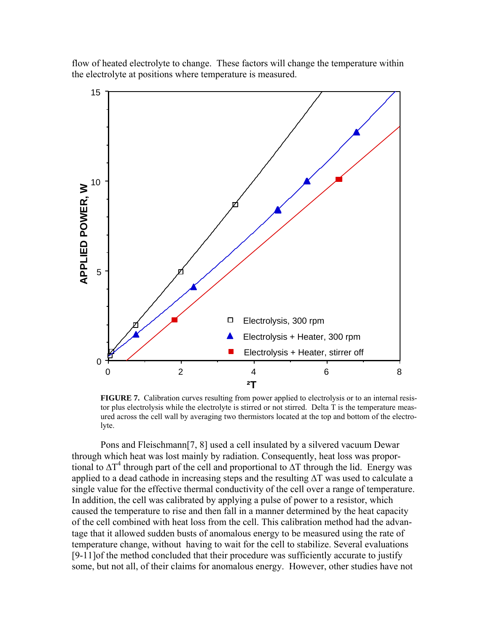flow of heated electrolyte to change. These factors will change the temperature within the electrolyte at positions where temperature is measured.



**FIGURE 7.** Calibration curves resulting from power applied to electrolysis or to an internal resistor plus electrolysis while the electrolyte is stirred or not stirred. Delta T is the temperature measured across the cell wall by averaging two thermistors located at the top and bottom of the electrolyte.

Pons and Fleischmann[7, 8] used a cell insulated by a silvered vacuum Dewar through which heat was lost mainly by radiation. Consequently, heat loss was proportional to  $\Delta T^4$  through part of the cell and proportional to  $\Delta T$  through the lid. Energy was applied to a dead cathode in increasing steps and the resulting ∆T was used to calculate a single value for the effective thermal conductivity of the cell over a range of temperature. In addition, the cell was calibrated by applying a pulse of power to a resistor, which caused the temperature to rise and then fall in a manner determined by the heat capacity of the cell combined with heat loss from the cell. This calibration method had the advantage that it allowed sudden busts of anomalous energy to be measured using the rate of temperature change, without having to wait for the cell to stabilize. Several evaluations [9-11]of the method concluded that their procedure was sufficiently accurate to justify some, but not all, of their claims for anomalous energy. However, other studies have not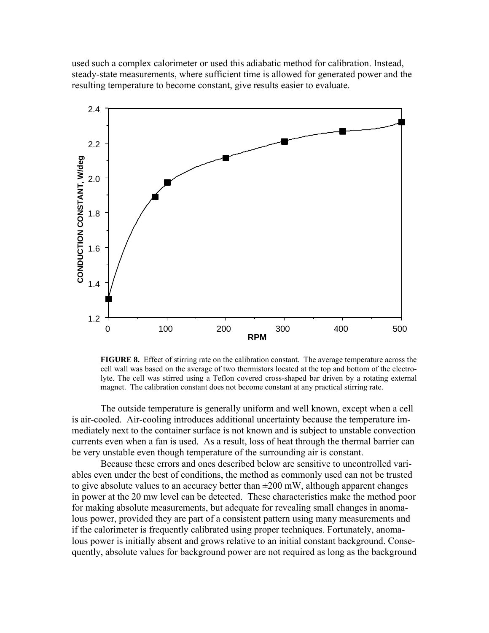used such a complex calorimeter or used this adiabatic method for calibration. Instead, steady-state measurements, where sufficient time is allowed for generated power and the resulting temperature to become constant, give results easier to evaluate.



**FIGURE 8.** Effect of stirring rate on the calibration constant. The average temperature across the cell wall was based on the average of two thermistors located at the top and bottom of the electrolyte. The cell was stirred using a Teflon covered cross-shaped bar driven by a rotating external magnet. The calibration constant does not become constant at any practical stirring rate.

The outside temperature is generally uniform and well known, except when a cell is air-cooled. Air-cooling introduces additional uncertainty because the temperature immediately next to the container surface is not known and is subject to unstable convection currents even when a fan is used. As a result, loss of heat through the thermal barrier can be very unstable even though temperature of the surrounding air is constant.

Because these errors and ones described below are sensitive to uncontrolled variables even under the best of conditions, the method as commonly used can not be trusted to give absolute values to an accuracy better than  $\pm 200$  mW, although apparent changes in power at the 20 mw level can be detected. These characteristics make the method poor for making absolute measurements, but adequate for revealing small changes in anomalous power, provided they are part of a consistent pattern using many measurements and if the calorimeter is frequently calibrated using proper techniques. Fortunately, anomalous power is initially absent and grows relative to an initial constant background. Consequently, absolute values for background power are not required as long as the background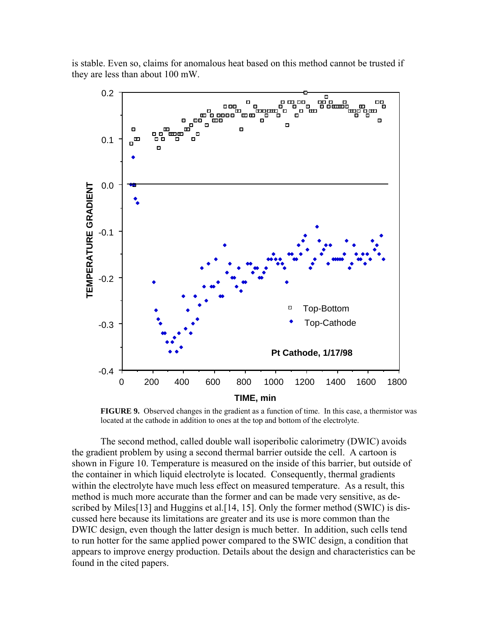is stable. Even so, claims for anomalous heat based on this method cannot be trusted if they are less than about 100 mW.



**FIGURE 9.** Observed changes in the gradient as a function of time. In this case, a thermistor was located at the cathode in addition to ones at the top and bottom of the electrolyte.

The second method, called double wall isoperibolic calorimetry (DWIC) avoids the gradient problem by using a second thermal barrier outside the cell. A cartoon is shown in Figure 10. Temperature is measured on the inside of this barrier, but outside of the container in which liquid electrolyte is located. Consequently, thermal gradients within the electrolyte have much less effect on measured temperature. As a result, this method is much more accurate than the former and can be made very sensitive, as described by Miles<sup>[13]</sup> and Huggins et al.<sup>[14]</sup>, 15]. Only the former method (SWIC) is discussed here because its limitations are greater and its use is more common than the DWIC design, even though the latter design is much better. In addition, such cells tend to run hotter for the same applied power compared to the SWIC design, a condition that appears to improve energy production. Details about the design and characteristics can be found in the cited papers.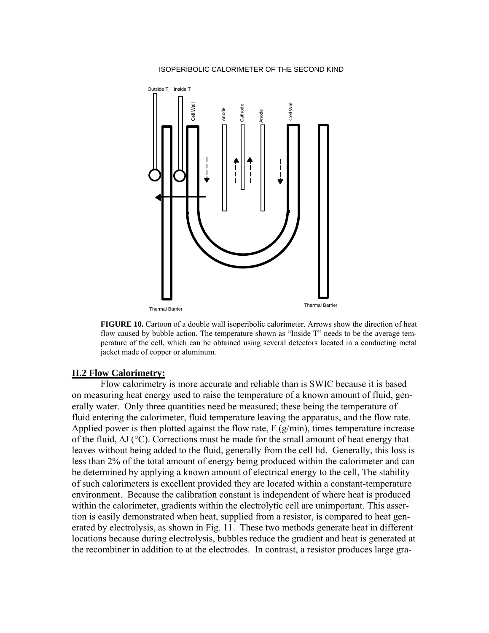#### ISOPERIBOLIC CALORIMETER OF THE SECOND KIND



**FIGURE 10.** Cartoon of a double wall isoperibolic calorimeter. Arrows show the direction of heat flow caused by bubble action. The temperature shown as "Inside T" needs to be the average temperature of the cell, which can be obtained using several detectors located in a conducting metal jacket made of copper or aluminum.

## **II.2 Flow Calorimetry:**

Flow calorimetry is more accurate and reliable than is SWIC because it is based on measuring heat energy used to raise the temperature of a known amount of fluid, generally water. Only three quantities need be measured; these being the temperature of fluid entering the calorimeter, fluid temperature leaving the apparatus, and the flow rate. Applied power is then plotted against the flow rate,  $F(g/min)$ , times temperature increase of the fluid, ∆J (°C). Corrections must be made for the small amount of heat energy that leaves without being added to the fluid, generally from the cell lid. Generally, this loss is less than 2% of the total amount of energy being produced within the calorimeter and can be determined by applying a known amount of electrical energy to the cell, The stability of such calorimeters is excellent provided they are located within a constant-temperature environment. Because the calibration constant is independent of where heat is produced within the calorimeter, gradients within the electrolytic cell are unimportant. This assertion is easily demonstrated when heat, supplied from a resistor, is compared to heat generated by electrolysis, as shown in Fig. 11. These two methods generate heat in different locations because during electrolysis, bubbles reduce the gradient and heat is generated at the recombiner in addition to at the electrodes. In contrast, a resistor produces large gra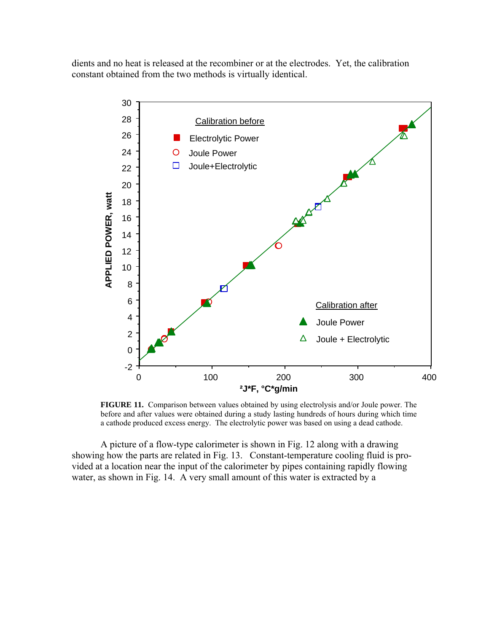dients and no heat is released at the recombiner or at the electrodes. Yet, the calibration constant obtained from the two methods is virtually identical.



**FIGURE 11.** Comparison between values obtained by using electrolysis and/or Joule power. The before and after values were obtained during a study lasting hundreds of hours during which time a cathode produced excess energy. The electrolytic power was based on using a dead cathode.

A picture of a flow-type calorimeter is shown in Fig. 12 along with a drawing showing how the parts are related in Fig. 13. Constant-temperature cooling fluid is provided at a location near the input of the calorimeter by pipes containing rapidly flowing water, as shown in Fig. 14. A very small amount of this water is extracted by a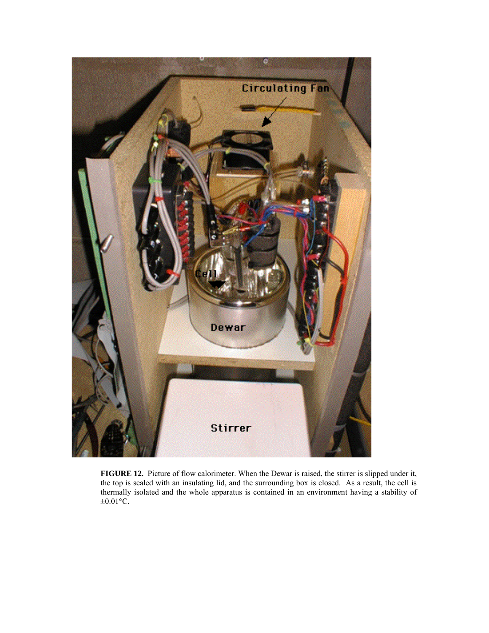

**FIGURE 12.** Picture of flow calorimeter. When the Dewar is raised, the stirrer is slipped under it, the top is sealed with an insulating lid, and the surrounding box is closed. As a result, the cell is thermally isolated and the whole apparatus is contained in an environment having a stability of  $\pm 0.01$ °C.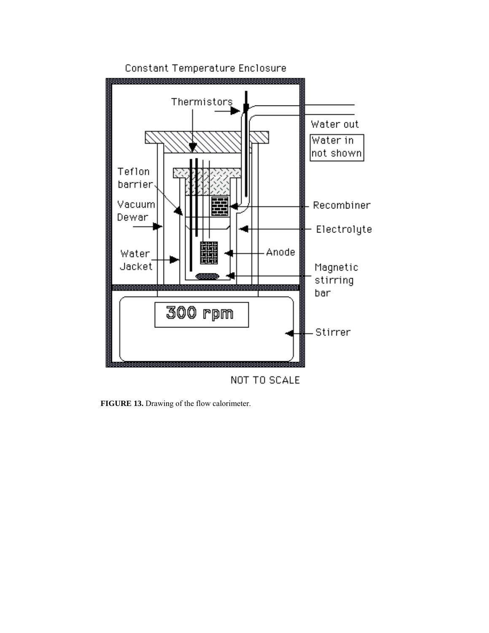

**FIGURE 13.** Drawing of the flow calorimeter.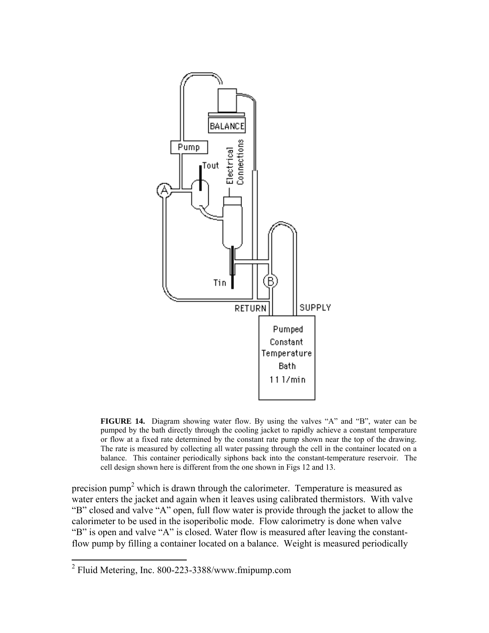

**FIGURE 14.** Diagram showing water flow. By using the valves "A" and "B", water can be pumped by the bath directly through the cooling jacket to rapidly achieve a constant temperature or flow at a fixed rate determined by the constant rate pump shown near the top of the drawing. The rate is measured by collecting all water passing through the cell in the container located on a balance. This container periodically siphons back into the constant-temperature reservoir. The cell design shown here is different from the one shown in Figs 12 and 13.

precision pump<sup>[2](#page-13-0)</sup> which is drawn through the calorimeter. Temperature is measured as water enters the jacket and again when it leaves using calibrated thermistors. With valve "B" closed and valve "A" open, full flow water is provide through the jacket to allow the calorimeter to be used in the isoperibolic mode. Flow calorimetry is done when valve "B" is open and valve "A" is closed. Water flow is measured after leaving the constantflow pump by filling a container located on a balance. Weight is measured periodically

<span id="page-13-0"></span> 2 Fluid Metering, Inc. 800-223-3388/www.fmipump.com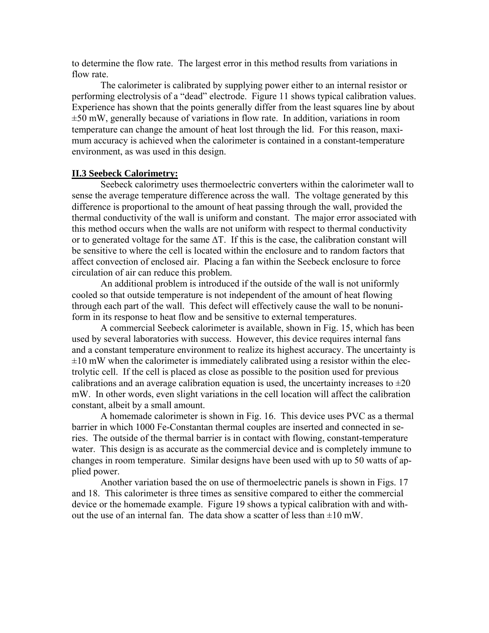to determine the flow rate. The largest error in this method results from variations in flow rate

The calorimeter is calibrated by supplying power either to an internal resistor or performing electrolysis of a "dead" electrode. Figure 11 shows typical calibration values. Experience has shown that the points generally differ from the least squares line by about ±50 mW, generally because of variations in flow rate. In addition, variations in room temperature can change the amount of heat lost through the lid. For this reason, maximum accuracy is achieved when the calorimeter is contained in a constant-temperature environment, as was used in this design.

## **II.3 Seebeck Calorimetry:**

Seebeck calorimetry uses thermoelectric converters within the calorimeter wall to sense the average temperature difference across the wall. The voltage generated by this difference is proportional to the amount of heat passing through the wall, provided the thermal conductivity of the wall is uniform and constant. The major error associated with this method occurs when the walls are not uniform with respect to thermal conductivity or to generated voltage for the same ∆T. If this is the case, the calibration constant will be sensitive to where the cell is located within the enclosure and to random factors that affect convection of enclosed air. Placing a fan within the Seebeck enclosure to force circulation of air can reduce this problem.

An additional problem is introduced if the outside of the wall is not uniformly cooled so that outside temperature is not independent of the amount of heat flowing through each part of the wall. This defect will effectively cause the wall to be nonuniform in its response to heat flow and be sensitive to external temperatures.

A commercial Seebeck calorimeter is available, shown in Fig. 15, which has been used by several laboratories with success. However, this device requires internal fans and a constant temperature environment to realize its highest accuracy. The uncertainty is  $\pm 10$  mW when the calorimeter is immediately calibrated using a resistor within the electrolytic cell. If the cell is placed as close as possible to the position used for previous calibrations and an average calibration equation is used, the uncertainty increases to  $\pm 20$ mW. In other words, even slight variations in the cell location will affect the calibration constant, albeit by a small amount.

A homemade calorimeter is shown in Fig. 16. This device uses PVC as a thermal barrier in which 1000 Fe-Constantan thermal couples are inserted and connected in series. The outside of the thermal barrier is in contact with flowing, constant-temperature water. This design is as accurate as the commercial device and is completely immune to changes in room temperature. Similar designs have been used with up to 50 watts of applied power.

Another variation based the on use of thermoelectric panels is shown in Figs. 17 and 18. This calorimeter is three times as sensitive compared to either the commercial device or the homemade example. Figure 19 shows a typical calibration with and without the use of an internal fan. The data show a scatter of less than  $\pm 10$  mW.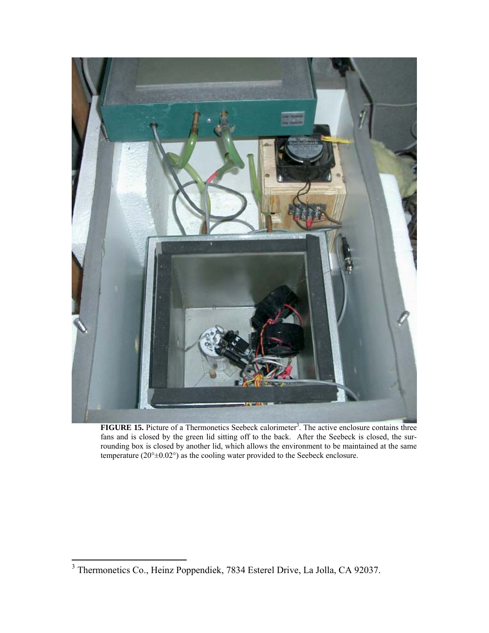

FIGURE 15. Picture of a Thermonetics Seebeck calorimeter<sup>3</sup>. The active enclosure contains three fans and is closed by the green lid sitting off to the back. After the Seebeck is closed, the surrounding box is closed by another lid, which allows the environment to be maintained at the same temperature  $(20^{\circ} \pm 0.02^{\circ})$  as the cooling water provided to the Seebeck enclosure.

<span id="page-15-0"></span> 3 Thermonetics Co., Heinz Poppendiek, 7834 Esterel Drive, La Jolla, CA 92037.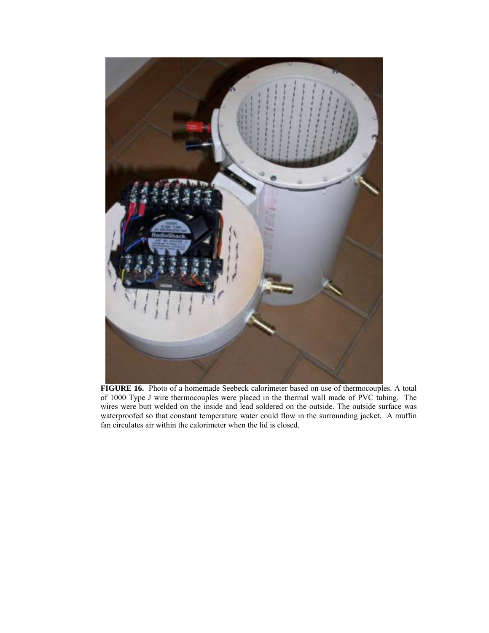

**FIGURE 16.** Photo of a homemade Seebeck calorimeter based on use of thermocouples. A total of 1000 Type J wire thermocouples were placed in the thermal wall made of PVC tubing. The wires were butt welded on the inside and lead soldered on the outside. The outside surface was waterproofed so that constant temperature water could flow in the surrounding jacket. A muffin fan circulates air within the calorimeter when the lid is closed.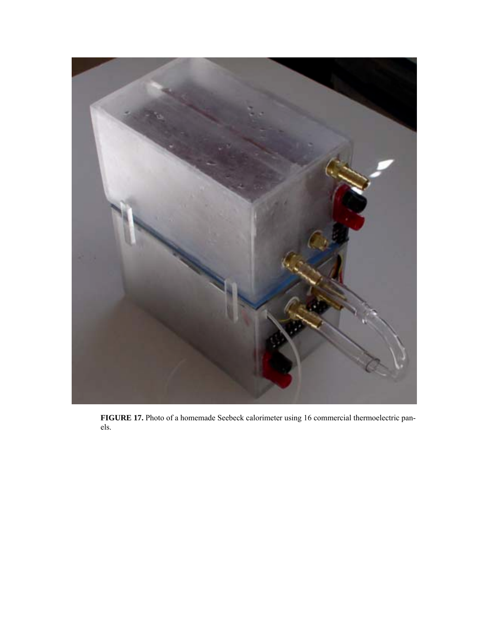

**FIGURE 17.** Photo of a homemade Seebeck calorimeter using 16 commercial thermoelectric panels.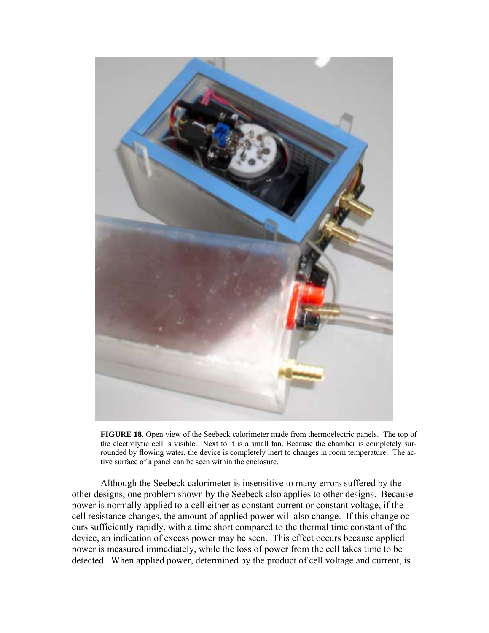

**FIGURE 18**. Open view of the Seebeck calorimeter made from thermoelectric panels. The top of the electrolytic cell is visible. Next to it is a small fan. Because the chamber is completely surrounded by flowing water, the device is completely inert to changes in room temperature. The active surface of a panel can be seen within the enclosure.

Although the Seebeck calorimeter is insensitive to many errors suffered by the other designs, one problem shown by the Seebeck also applies to other designs. Because power is normally applied to a cell either as constant current or constant voltage, if the cell resistance changes, the amount of applied power will also change. If this change occurs sufficiently rapidly, with a time short compared to the thermal time constant of the device, an indication of excess power may be seen. This effect occurs because applied power is measured immediately, while the loss of power from the cell takes time to be detected. When applied power, determined by the product of cell voltage and current, is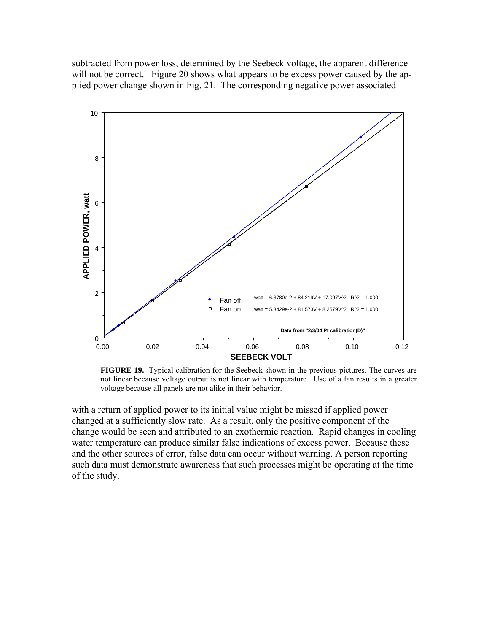subtracted from power loss, determined by the Seebeck voltage, the apparent difference will not be correct. Figure 20 shows what appears to be excess power caused by the applied power change shown in Fig. 21. The corresponding negative power associated



**FIGURE 19.** Typical calibration for the Seebeck shown in the previous pictures. The curves are not linear because voltage output is not linear with temperature. Use of a fan results in a greater voltage because all panels are not alike in their behavior.

with a return of applied power to its initial value might be missed if applied power changed at a sufficiently slow rate. As a result, only the positive component of the change would be seen and attributed to an exothermic reaction. Rapid changes in cooling water temperature can produce similar false indications of excess power. Because these and the other sources of error, false data can occur without warning. A person reporting such data must demonstrate awareness that such processes might be operating at the time of the study.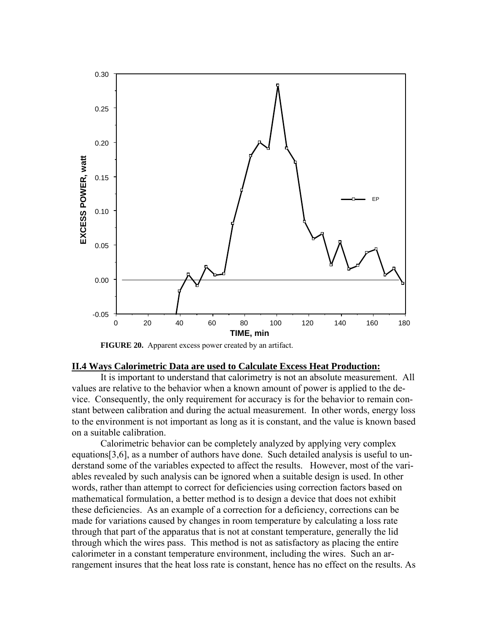

**FIGURE 20.** Apparent excess power created by an artifact.

## **II.4 Ways Calorimetric Data are used to Calculate Excess Heat Production:**

It is important to understand that calorimetry is not an absolute measurement. All values are relative to the behavior when a known amount of power is applied to the device. Consequently, the only requirement for accuracy is for the behavior to remain constant between calibration and during the actual measurement. In other words, energy loss to the environment is not important as long as it is constant, and the value is known based on a suitable calibration.

Calorimetric behavior can be completely analyzed by applying very complex equations[3,6], as a number of authors have done. Such detailed analysis is useful to understand some of the variables expected to affect the results. However, most of the variables revealed by such analysis can be ignored when a suitable design is used. In other words, rather than attempt to correct for deficiencies using correction factors based on mathematical formulation, a better method is to design a device that does not exhibit these deficiencies. As an example of a correction for a deficiency, corrections can be made for variations caused by changes in room temperature by calculating a loss rate through that part of the apparatus that is not at constant temperature, generally the lid through which the wires pass. This method is not as satisfactory as placing the entire calorimeter in a constant temperature environment, including the wires. Such an arrangement insures that the heat loss rate is constant, hence has no effect on the results. As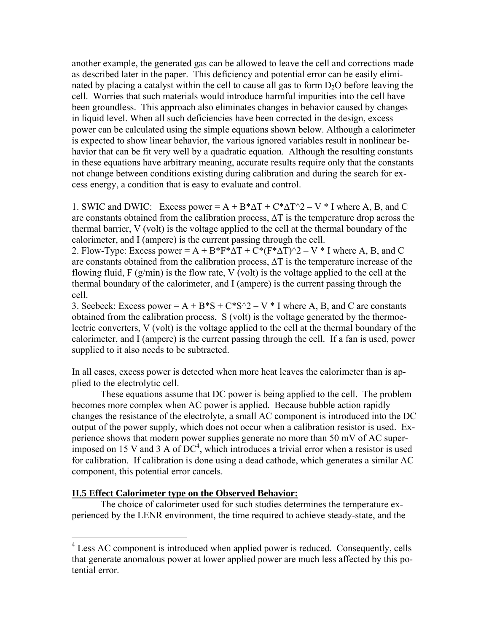another example, the generated gas can be allowed to leave the cell and corrections made as described later in the paper. This deficiency and potential error can be easily eliminated by placing a catalyst within the cell to cause all gas to form  $D_2O$  before leaving the cell. Worries that such materials would introduce harmful impurities into the cell have been groundless. This approach also eliminates changes in behavior caused by changes in liquid level. When all such deficiencies have been corrected in the design, excess power can be calculated using the simple equations shown below. Although a calorimeter is expected to show linear behavior, the various ignored variables result in nonlinear behavior that can be fit very well by a quadratic equation. Although the resulting constants in these equations have arbitrary meaning, accurate results require only that the constants not change between conditions existing during calibration and during the search for excess energy, a condition that is easy to evaluate and control.

1. SWIC and DWIC: Excess power =  $A + B^* \Delta T + C^* \Delta T^2 - V^* I$  where A, B, and C are constants obtained from the calibration process, ∆T is the temperature drop across the thermal barrier, V (volt) is the voltage applied to the cell at the thermal boundary of the calorimeter, and I (ampere) is the current passing through the cell.

2. Flow-Type: Excess power = A + B\*F\* $\Delta T + C$ \*(F\* $\Delta T$ )^2 – V \* I where A, B, and C are constants obtained from the calibration process, ∆T is the temperature increase of the flowing fluid,  $F(g/min)$  is the flow rate, V (volt) is the voltage applied to the cell at the thermal boundary of the calorimeter, and I (ampere) is the current passing through the cell.

3. Seebeck: Excess power =  $A + B^*S + C^*S^2 - V^*I$  where A, B, and C are constants obtained from the calibration process, S (volt) is the voltage generated by the thermoelectric converters, V (volt) is the voltage applied to the cell at the thermal boundary of the calorimeter, and I (ampere) is the current passing through the cell. If a fan is used, power supplied to it also needs to be subtracted.

In all cases, excess power is detected when more heat leaves the calorimeter than is applied to the electrolytic cell.

These equations assume that DC power is being applied to the cell. The problem becomes more complex when AC power is applied. Because bubble action rapidly changes the resistance of the electrolyte, a small AC component is introduced into the DC output of the power supply, which does not occur when a calibration resistor is used. Experience shows that modern power supplies generate no more than 50 mV of AC superimposed on 15 V and 3 A of  $DC<sup>4</sup>$  $DC<sup>4</sup>$  $DC<sup>4</sup>$ , which introduces a trivial error when a resistor is used for calibration. If calibration is done using a dead cathode, which generates a similar AC component, this potential error cancels.

## **II.5 Effect Calorimeter type on the Observed Behavior:**

 $\overline{a}$ 

The choice of calorimeter used for such studies determines the temperature experienced by the LENR environment, the time required to achieve steady-state, and the

<span id="page-21-0"></span><sup>&</sup>lt;sup>4</sup> Less AC component is introduced when applied power is reduced. Consequently, cells that generate anomalous power at lower applied power are much less affected by this potential error.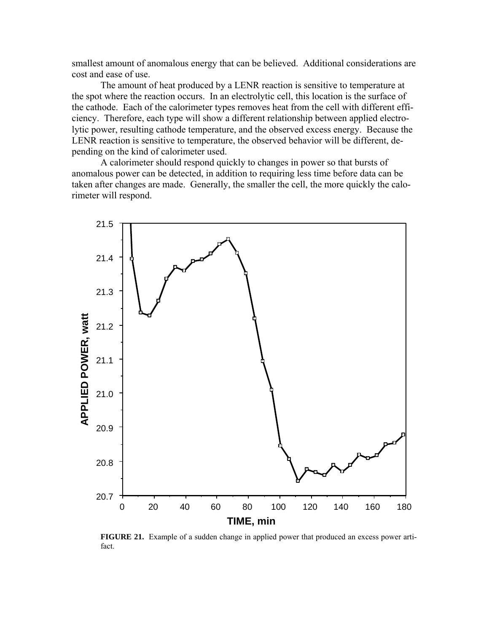smallest amount of anomalous energy that can be believed. Additional considerations are cost and ease of use.

The amount of heat produced by a LENR reaction is sensitive to temperature at the spot where the reaction occurs. In an electrolytic cell, this location is the surface of the cathode. Each of the calorimeter types removes heat from the cell with different efficiency. Therefore, each type will show a different relationship between applied electrolytic power, resulting cathode temperature, and the observed excess energy. Because the LENR reaction is sensitive to temperature, the observed behavior will be different, depending on the kind of calorimeter used.

A calorimeter should respond quickly to changes in power so that bursts of anomalous power can be detected, in addition to requiring less time before data can be taken after changes are made. Generally, the smaller the cell, the more quickly the calorimeter will respond.



**FIGURE 21.** Example of a sudden change in applied power that produced an excess power artifact.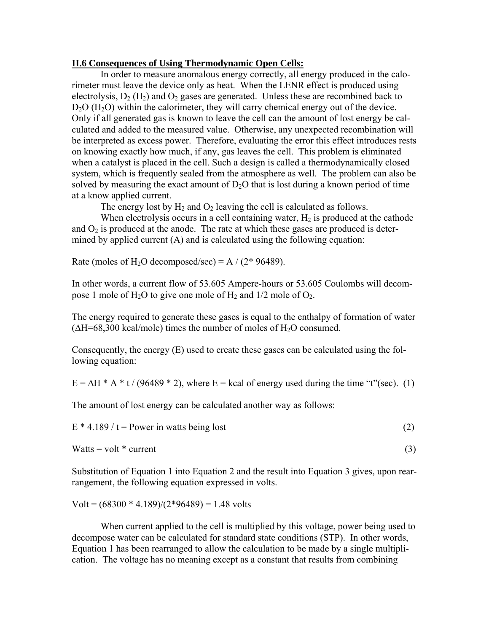### **II.6 Consequences of Using Thermodynamic Open Cells:**

In order to measure anomalous energy correctly, all energy produced in the calorimeter must leave the device only as heat. When the LENR effect is produced using electrolysis,  $D_2(H_2)$  and  $O_2$  gases are generated. Unless these are recombined back to  $D<sub>2</sub>O$  (H<sub>2</sub>O) within the calorimeter, they will carry chemical energy out of the device. Only if all generated gas is known to leave the cell can the amount of lost energy be calculated and added to the measured value. Otherwise, any unexpected recombination will be interpreted as excess power. Therefore, evaluating the error this effect introduces rests on knowing exactly how much, if any, gas leaves the cell. This problem is eliminated when a catalyst is placed in the cell. Such a design is called a thermodynamically closed system, which is frequently sealed from the atmosphere as well. The problem can also be solved by measuring the exact amount of  $D_2O$  that is lost during a known period of time at a know applied current.

The energy lost by  $H_2$  and  $O_2$  leaving the cell is calculated as follows.

When electrolysis occurs in a cell containing water,  $H_2$  is produced at the cathode and  $O_2$  is produced at the anode. The rate at which these gases are produced is determined by applied current (A) and is calculated using the following equation:

Rate (moles of H<sub>2</sub>O decomposed/sec) = A /  $(2*96489)$ .

In other words, a current flow of 53.605 Ampere-hours or 53.605 Coulombs will decompose 1 mole of  $H_2O$  to give one mole of  $H_2$  and  $1/2$  mole of  $O_2$ .

The energy required to generate these gases is equal to the enthalpy of formation of water  $(\Delta H = 68,300 \text{ kcal/mole})$  times the number of moles of H<sub>2</sub>O consumed.

Consequently, the energy (E) used to create these gases can be calculated using the following equation:

 $E = \Delta H^* A^* t / (96489 * 2)$ , where  $E =$  kcal of energy used during the time "t"(sec). (1)

The amount of lost energy can be calculated another way as follows:

 $E * 4.189 / t = Power$  in watts being lost (2)

 $Watts = volt * current$  (3)

Substitution of Equation 1 into Equation 2 and the result into Equation 3 gives, upon rearrangement, the following equation expressed in volts.

 $Volt = (68300 * 4.189)/(2*96489) = 1.48$  volts

When current applied to the cell is multiplied by this voltage, power being used to decompose water can be calculated for standard state conditions (STP). In other words, Equation 1 has been rearranged to allow the calculation to be made by a single multiplication. The voltage has no meaning except as a constant that results from combining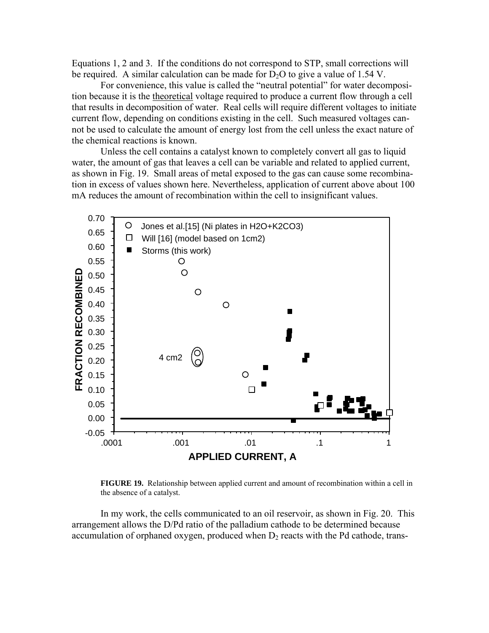Equations 1, 2 and 3. If the conditions do not correspond to STP, small corrections will be required. A similar calculation can be made for  $D_2O$  to give a value of 1.54 V.

For convenience, this value is called the "neutral potential" for water decomposition because it is the theoretical voltage required to produce a current flow through a cell that results in decomposition of water. Real cells will require different voltages to initiate current flow, depending on conditions existing in the cell. Such measured voltages cannot be used to calculate the amount of energy lost from the cell unless the exact nature of the chemical reactions is known.

Unless the cell contains a catalyst known to completely convert all gas to liquid water, the amount of gas that leaves a cell can be variable and related to applied current, as shown in Fig. 19. Small areas of metal exposed to the gas can cause some recombination in excess of values shown here. Nevertheless, application of current above about 100 mA reduces the amount of recombination within the cell to insignificant values.



**FIGURE 19.** Relationship between applied current and amount of recombination within a cell in the absence of a catalyst.

In my work, the cells communicated to an oil reservoir, as shown in Fig. 20. This arrangement allows the D/Pd ratio of the palladium cathode to be determined because accumulation of orphaned oxygen, produced when  $D_2$  reacts with the Pd cathode, trans-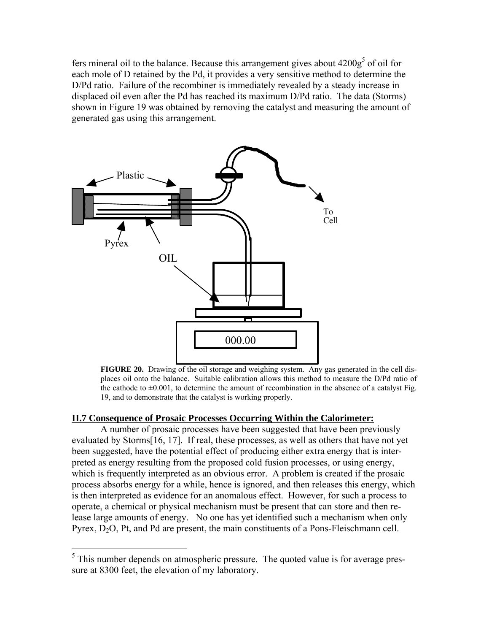fers mineral oil to the balance. Because this arrangement gives about  $4200g<sup>5</sup>$  of oil for each mole of D retained by the Pd, it provides a very sensitive method to determine the D/Pd ratio. Failure of the recombiner is immediately revealed by a steady increase in displaced oil even after the Pd has reached its maximum D/Pd ratio. The data (Storms) shown in Figure 19 was obtained by removing the catalyst and measuring the amount of generated gas using this arrangement.



**FIGURE 20.** Drawing of the oil storage and weighing system. Any gas generated in the cell displaces oil onto the balance. Suitable calibration allows this method to measure the D/Pd ratio of the cathode to  $\pm 0.001$ , to determine the amount of recombination in the absence of a catalyst Fig. 19, and to demonstrate that the catalyst is working properly.

## **II.7 Consequence of Prosaic Processes Occurring Within the Calorimeter:**

A number of prosaic processes have been suggested that have been previously evaluated by Storms[16, 17]. If real, these processes, as well as others that have not yet been suggested, have the potential effect of producing either extra energy that is interpreted as energy resulting from the proposed cold fusion processes, or using energy, which is frequently interpreted as an obvious error. A problem is created if the prosaic process absorbs energy for a while, hence is ignored, and then releases this energy, which is then interpreted as evidence for an anomalous effect. However, for such a process to operate, a chemical or physical mechanism must be present that can store and then release large amounts of energy. No one has yet identified such a mechanism when only Pyrex,  $D_2O$ , Pt, and Pd are present, the main constituents of a Pons-Fleischmann cell.

<span id="page-25-0"></span><sup>&</sup>lt;sup>5</sup>This number depends on atmospheric pressure. The quoted value is for average pressure at 8300 feet, the elevation of my laboratory.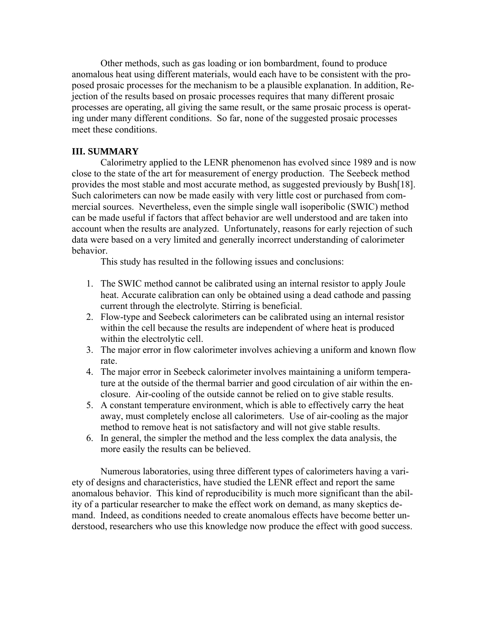Other methods, such as gas loading or ion bombardment, found to produce anomalous heat using different materials, would each have to be consistent with the proposed prosaic processes for the mechanism to be a plausible explanation. In addition, Rejection of the results based on prosaic processes requires that many different prosaic processes are operating, all giving the same result, or the same prosaic process is operating under many different conditions. So far, none of the suggested prosaic processes meet these conditions.

## **III. SUMMARY**

 Calorimetry applied to the LENR phenomenon has evolved since 1989 and is now close to the state of the art for measurement of energy production. The Seebeck method provides the most stable and most accurate method, as suggested previously by Bush[18]. Such calorimeters can now be made easily with very little cost or purchased from commercial sources. Nevertheless, even the simple single wall isoperibolic (SWIC) method can be made useful if factors that affect behavior are well understood and are taken into account when the results are analyzed. Unfortunately, reasons for early rejection of such data were based on a very limited and generally incorrect understanding of calorimeter behavior.

This study has resulted in the following issues and conclusions:

- 1. The SWIC method cannot be calibrated using an internal resistor to apply Joule heat. Accurate calibration can only be obtained using a dead cathode and passing current through the electrolyte. Stirring is beneficial.
- 2. Flow-type and Seebeck calorimeters can be calibrated using an internal resistor within the cell because the results are independent of where heat is produced within the electrolytic cell.
- 3. The major error in flow calorimeter involves achieving a uniform and known flow rate.
- 4. The major error in Seebeck calorimeter involves maintaining a uniform temperature at the outside of the thermal barrier and good circulation of air within the enclosure. Air-cooling of the outside cannot be relied on to give stable results.
- 5. A constant temperature environment, which is able to effectively carry the heat away, must completely enclose all calorimeters. Use of air-cooling as the major method to remove heat is not satisfactory and will not give stable results.
- 6. In general, the simpler the method and the less complex the data analysis, the more easily the results can be believed.

 Numerous laboratories, using three different types of calorimeters having a variety of designs and characteristics, have studied the LENR effect and report the same anomalous behavior. This kind of reproducibility is much more significant than the ability of a particular researcher to make the effect work on demand, as many skeptics demand. Indeed, as conditions needed to create anomalous effects have become better understood, researchers who use this knowledge now produce the effect with good success.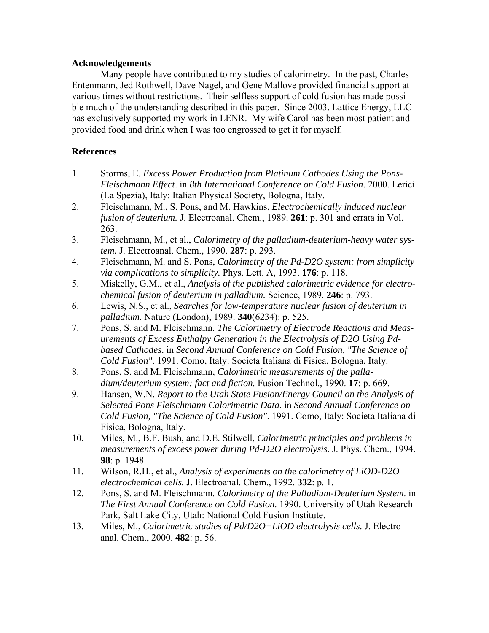## **Acknowledgements**

Many people have contributed to my studies of calorimetry. In the past, Charles Entenmann, Jed Rothwell, Dave Nagel, and Gene Mallove provided financial support at various times without restrictions. Their selfless support of cold fusion has made possible much of the understanding described in this paper. Since 2003, Lattice Energy, LLC has exclusively supported my work in LENR. My wife Carol has been most patient and provided food and drink when I was too engrossed to get it for myself.

## **References**

- 1. Storms, E. *Excess Power Production from Platinum Cathodes Using the Pons-Fleischmann Effect*. in *8th International Conference on Cold Fusion*. 2000. Lerici (La Spezia), Italy: Italian Physical Society, Bologna, Italy.
- 2. Fleischmann, M., S. Pons, and M. Hawkins, *Electrochemically induced nuclear fusion of deuterium.* J. Electroanal. Chem., 1989. **261**: p. 301 and errata in Vol. 263.
- 3. Fleischmann, M., et al., *Calorimetry of the palladium-deuterium-heavy water system.* J. Electroanal. Chem., 1990. **287**: p. 293.
- 4. Fleischmann, M. and S. Pons, *Calorimetry of the Pd-D2O system: from simplicity via complications to simplicity.* Phys. Lett. A, 1993. **176**: p. 118.
- 5. Miskelly, G.M., et al., *Analysis of the published calorimetric evidence for electrochemical fusion of deuterium in palladium.* Science, 1989. **246**: p. 793.
- 6. Lewis, N.S., et al., *Searches for low-temperature nuclear fusion of deuterium in palladium.* Nature (London), 1989. **340**(6234): p. 525.
- 7. Pons, S. and M. Fleischmann. *The Calorimetry of Electrode Reactions and Measurements of Excess Enthalpy Generation in the Electrolysis of D2O Using Pdbased Cathodes*. in *Second Annual Conference on Cold Fusion, "The Science of Cold Fusion"*. 1991. Como, Italy: Societa Italiana di Fisica, Bologna, Italy.
- 8. Pons, S. and M. Fleischmann, *Calorimetric measurements of the palladium/deuterium system: fact and fiction.* Fusion Technol., 1990. **17**: p. 669.
- 9. Hansen, W.N. *Report to the Utah State Fusion/Energy Council on the Analysis of Selected Pons Fleischmann Calorimetric Data*. in *Second Annual Conference on Cold Fusion, "The Science of Cold Fusion"*. 1991. Como, Italy: Societa Italiana di Fisica, Bologna, Italy.
- 10. Miles, M., B.F. Bush, and D.E. Stilwell, *Calorimetric principles and problems in measurements of excess power during Pd-D2O electrolysis.* J. Phys. Chem., 1994. **98**: p. 1948.
- 11. Wilson, R.H., et al., *Analysis of experiments on the calorimetry of LiOD-D2O electrochemical cells.* J. Electroanal. Chem., 1992. **332**: p. 1.
- 12. Pons, S. and M. Fleischmann. *Calorimetry of the Palladium-Deuterium System*. in *The First Annual Conference on Cold Fusion*. 1990. University of Utah Research Park, Salt Lake City, Utah: National Cold Fusion Institute.
- 13. Miles, M., *Calorimetric studies of Pd/D2O+LiOD electrolysis cells.* J. Electroanal. Chem., 2000. **482**: p. 56.